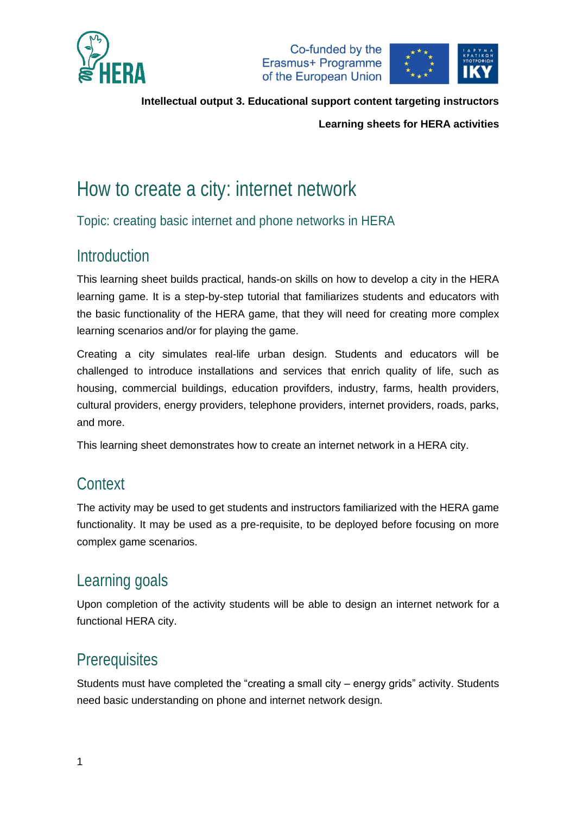



**Intellectual output 3. Educational support content targeting instructors**

**Learning sheets for HERA activities**

# How to create a city: internet network

Topic: creating basic internet and phone networks in HERA

### Introduction

This learning sheet builds practical, hands-on skills on how to develop a city in the HERA learning game. It is a step-by-step tutorial that familiarizes students and educators with the basic functionality of the HERA game, that they will need for creating more complex learning scenarios and/or for playing the game.

Creating a city simulates real-life urban design. Students and educators will be challenged to introduce installations and services that enrich quality of life, such as housing, commercial buildings, education provifders, industry, farms, health providers, cultural providers, energy providers, telephone providers, internet providers, roads, parks, and more.

This learning sheet demonstrates how to create an internet network in a HERA city.

### **Context**

The activity may be used to get students and instructors familiarized with the HERA game functionality. It may be used as a pre-requisite, to be deployed before focusing on more complex game scenarios.

## Learning goals

Upon completion of the activity students will be able to design an internet network for a functional HERA city.

### **Prerequisites**

Students must have completed the "creating a small city – energy grids" activity. Students need basic understanding on phone and internet network design.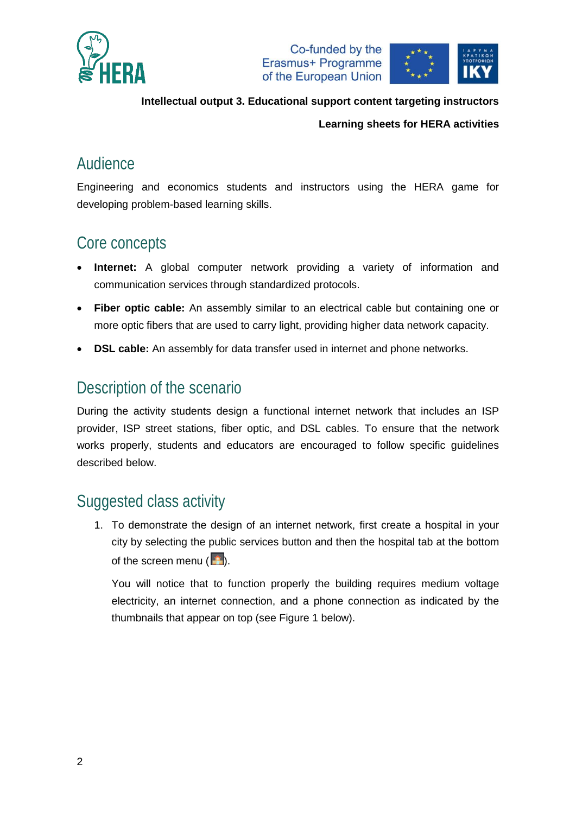





**Intellectual output 3. Educational support content targeting instructors**

#### **Learning sheets for HERA activities**

#### Audience

Engineering and economics students and instructors using the HERA game for developing problem-based learning skills.

## Core concepts

- **Internet:** A global computer network providing a variety of information and communication services through standardized protocols.
- **Fiber optic cable:** An assembly similar to an electrical cable but containing one or more optic fibers that are used to carry light, providing higher data network capacity.
- **DSL cable:** An assembly for data transfer used in internet and phone networks.

#### Description of the scenario

During the activity students design a functional internet network that includes an ISP provider, ISP street stations, fiber optic, and DSL cables. To ensure that the network works properly, students and educators are encouraged to follow specific guidelines described below.

### Suggested class activity

1. To demonstrate the design of an internet network, first create a hospital in your city by selecting the public services button and then the hospital tab at the bottom of the screen menu  $\left( \frac{1}{2} \right)$ .

You will notice that to function properly the building requires medium voltage electricity, an internet connection, and a phone connection as indicated by the thumbnails that appear on top (see [Figure 1](#page-2-0) below).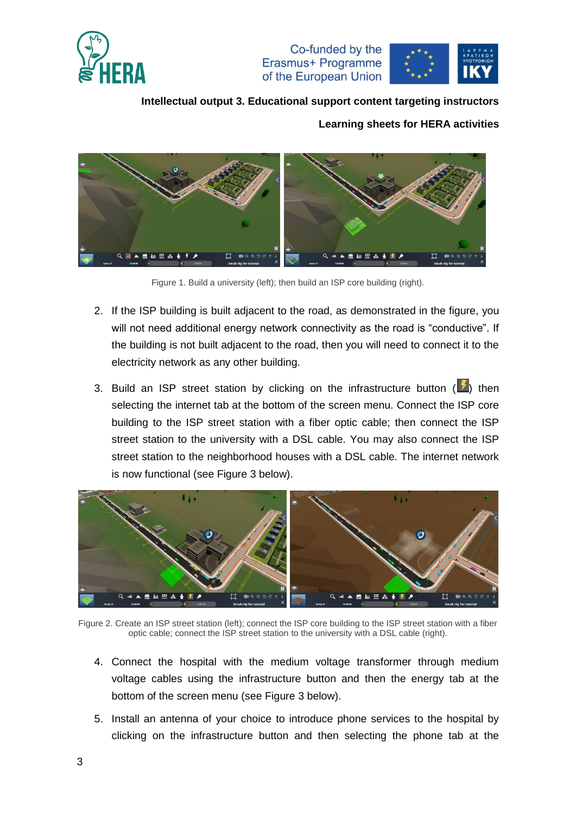



#### **Intellectual output 3. Educational support content targeting instructors**

#### **Learning sheets for HERA activities**



Figure 1. Build a university (left); then build an ISP core building (right).

- <span id="page-2-0"></span>2. If the ISP building is built adjacent to the road, as demonstrated in the figure, you will not need additional energy network connectivity as the road is "conductive". If the building is not built adjacent to the road, then you will need to connect it to the electricity network as any other building.
- 3. Build an ISP street station by clicking on the infrastructure button  $\left(\frac{1}{2}\right)$  then selecting the internet tab at the bottom of the screen menu. Connect the ISP core building to the ISP street station with a fiber optic cable; then connect the ISP street station to the university with a DSL cable. You may also connect the ISP street station to the neighborhood houses with a DSL cable. The internet network is now functional (see [Figure 3](#page-3-0) below).



Figure 2. Create an ISP street station (left); connect the ISP core building to the ISP street station with a fiber optic cable; connect the ISP street station to the university with a DSL cable (right).

- 4. Connect the hospital with the medium voltage transformer through medium voltage cables using the infrastructure button and then the energy tab at the bottom of the screen menu (see [Figure 3](#page-3-0) below).
- 5. Install an antenna of your choice to introduce phone services to the hospital by clicking on the infrastructure button and then selecting the phone tab at the